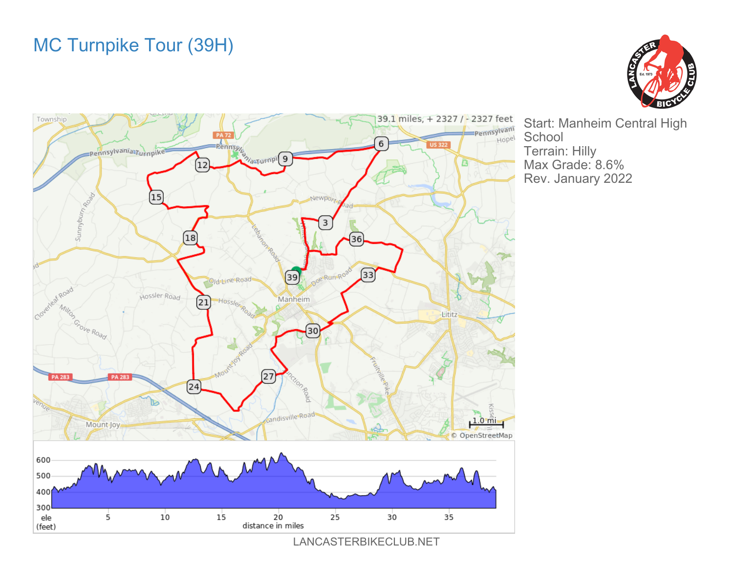## MC Turnpike Tour (39H)





Start: Manheim Central High Terrain: Hilly Max Grade: 8.6% Rev. January 2022

LANCASTERBIKECLUB.NET